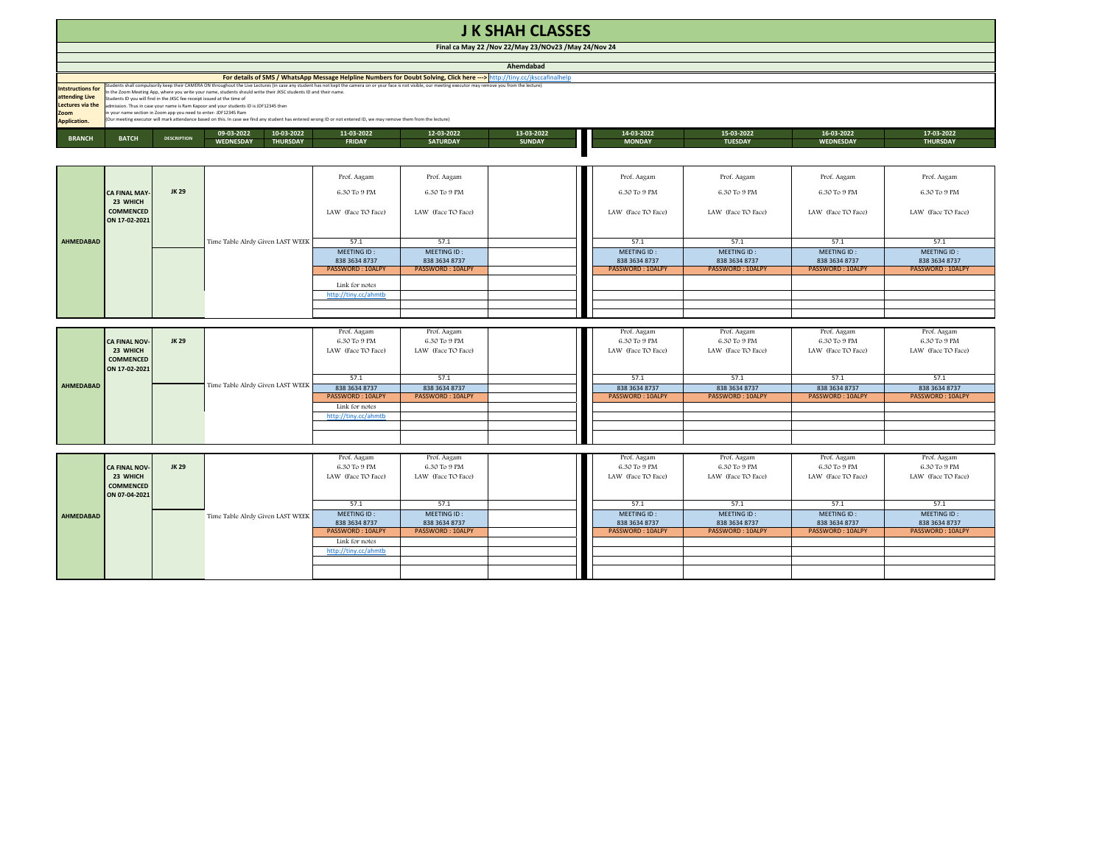| <b>J K SHAH CLASSES</b><br>Final ca May 22 / Nov 22/May 23/NOv23 / May 24/Nov 24                                                      |                                                                                                                                                                                                                                                                                                                                                                                                                                                                                                                                                                                                                                                                                                                                                                                                      |                    |                                                          |                                                 |                                                 |               |                                                  |                                                        |                                                  |                                                 |  |  |
|---------------------------------------------------------------------------------------------------------------------------------------|------------------------------------------------------------------------------------------------------------------------------------------------------------------------------------------------------------------------------------------------------------------------------------------------------------------------------------------------------------------------------------------------------------------------------------------------------------------------------------------------------------------------------------------------------------------------------------------------------------------------------------------------------------------------------------------------------------------------------------------------------------------------------------------------------|--------------------|----------------------------------------------------------|-------------------------------------------------|-------------------------------------------------|---------------|--------------------------------------------------|--------------------------------------------------------|--------------------------------------------------|-------------------------------------------------|--|--|
|                                                                                                                                       |                                                                                                                                                                                                                                                                                                                                                                                                                                                                                                                                                                                                                                                                                                                                                                                                      |                    |                                                          |                                                 |                                                 |               |                                                  |                                                        |                                                  |                                                 |  |  |
| Ahemdabad<br>For details of SMS / WhatsApp Message Helpline Numbers for Doubt Solving, Click here ---> http://tiny.cc/jksccafinalhelp |                                                                                                                                                                                                                                                                                                                                                                                                                                                                                                                                                                                                                                                                                                                                                                                                      |                    |                                                          |                                                 |                                                 |               |                                                  |                                                        |                                                  |                                                 |  |  |
| <b>Intstructions for</b><br>attending Live<br>Lectures via the<br>Zoom<br><b>Application.</b>                                         | Students shall compulsorily keep their CAMERA ON throughout the Live Lectures (in case any student has not kept the camera on or your face is not visible, our meeting executor may remove you from the lecture)<br>the Zoom Meeting App, where you write your name, students should write their JKSC students ID and their name.<br>tudents ID you will find in the JKSC fee receipt issued at the time of<br>admission. Thus in case your name is Ram Kapoor and your students ID is JDF12345 then<br>n your name section in Zoom app you need to enter-JDF12345 Ram<br>(Our meeting executor will mark attendance based on this. In case we find any student has entered wrong ID or not entered ID, we may remove them from the lecture)<br>13-03-2022<br>14-03-2022<br>15-03-2022<br>17-03-2022 |                    |                                                          |                                                 |                                                 |               |                                                  |                                                        |                                                  |                                                 |  |  |
| <b>BRANCH</b>                                                                                                                         | <b>BATCH</b>                                                                                                                                                                                                                                                                                                                                                                                                                                                                                                                                                                                                                                                                                                                                                                                         | <b>DESCRIPTION</b> | 09-03-2022<br>10-03-2022<br>WEDNESDAY<br><b>THURSDAY</b> | 11-03-2022<br><b>FRIDAY</b>                     | 12-03-2022<br><b>SATURDAY</b>                   | <b>SUNDAY</b> | <b>MONDAY</b>                                    | <b>TUESDAY</b>                                         | 16-03-2022<br>WEDNESDAY                          | <b>THURSDAY</b>                                 |  |  |
|                                                                                                                                       |                                                                                                                                                                                                                                                                                                                                                                                                                                                                                                                                                                                                                                                                                                                                                                                                      |                    |                                                          | Prof. Aagam                                     | Prof. Aagam                                     |               | Prof. Aagam                                      | Prof. Aagam                                            | Prof. Aagam                                      | Prof. Aagam                                     |  |  |
|                                                                                                                                       | <b>CA FINAL MAY</b><br>23 WHICH<br><b>COMMENCED</b><br>ON 17-02-2021                                                                                                                                                                                                                                                                                                                                                                                                                                                                                                                                                                                                                                                                                                                                 | JK 29              | Time Table Alrdy Given LAST WEEK                         | 6.30 To 9 PM                                    | 6.30 To 9 PM                                    |               | 6.30 To 9 PM                                     | 6.30 To 9 PM                                           | 6.30 To 9 PM                                     | 6.30 To 9 PM                                    |  |  |
| AHMEDABAD                                                                                                                             |                                                                                                                                                                                                                                                                                                                                                                                                                                                                                                                                                                                                                                                                                                                                                                                                      |                    |                                                          | LAW (Face TO Face)                              | LAW (Face TO Face)                              |               | LAW (Face TO Face)                               | LAW (Face TO Face)                                     | LAW (Face TO Face)                               | LAW (Face TO Face)                              |  |  |
|                                                                                                                                       |                                                                                                                                                                                                                                                                                                                                                                                                                                                                                                                                                                                                                                                                                                                                                                                                      |                    |                                                          | 57.1                                            | 57.1                                            |               | 57.1                                             | 57.1                                                   | 57.1                                             | 57.1                                            |  |  |
|                                                                                                                                       |                                                                                                                                                                                                                                                                                                                                                                                                                                                                                                                                                                                                                                                                                                                                                                                                      |                    |                                                          | MEETING ID:<br>838 3634 8737<br>PASSWORD: 10ALP | MEETING ID:<br>838 3634 8737<br>PASSWORD: 10ALP |               | MEETING ID:<br>838 3634 8737<br>PASSWORD: 10ALPY | MEETING ID:<br>838 3634 8737<br><b>PASSWORD: 10ALP</b> | MEETING ID:<br>838 3634 8737<br>PASSWORD: 10ALPY | MEETING ID:<br>838 3634 8737<br>PASSWORD: 10ALP |  |  |
|                                                                                                                                       |                                                                                                                                                                                                                                                                                                                                                                                                                                                                                                                                                                                                                                                                                                                                                                                                      |                    |                                                          | Link for notes<br>http://tiny.cc/ahmtb          |                                                 |               |                                                  |                                                        |                                                  |                                                 |  |  |
|                                                                                                                                       |                                                                                                                                                                                                                                                                                                                                                                                                                                                                                                                                                                                                                                                                                                                                                                                                      |                    |                                                          |                                                 |                                                 |               |                                                  |                                                        |                                                  |                                                 |  |  |
|                                                                                                                                       |                                                                                                                                                                                                                                                                                                                                                                                                                                                                                                                                                                                                                                                                                                                                                                                                      |                    |                                                          |                                                 |                                                 |               |                                                  |                                                        |                                                  |                                                 |  |  |
|                                                                                                                                       | <b>CA FINAL NOV</b>                                                                                                                                                                                                                                                                                                                                                                                                                                                                                                                                                                                                                                                                                                                                                                                  | <b>JK 29</b>       |                                                          | Prof. Aagam<br>6.30 To 9 PM                     | Prof. Aagam<br>6.30 To 9 PM                     |               | Prof. Aagam<br>6.30 To 9 PM                      | Prof. Aagam<br>6.30 To 9 PM                            | Prof. Aagam<br>6.30 To 9 PM                      | Prof. Aagam<br>6.30 To 9 PM                     |  |  |
|                                                                                                                                       | 23 WHICH<br><b>COMMENCED</b>                                                                                                                                                                                                                                                                                                                                                                                                                                                                                                                                                                                                                                                                                                                                                                         |                    |                                                          | LAW (Face TO Face)                              | LAW (Face TO Face)                              |               | LAW (Face TO Face)                               | LAW (Face TO Face)                                     | LAW (Face TO Face)                               | LAW (Face TO Face)                              |  |  |
|                                                                                                                                       | ON 17-02-2021                                                                                                                                                                                                                                                                                                                                                                                                                                                                                                                                                                                                                                                                                                                                                                                        |                    |                                                          | 57.1                                            | 57.1                                            |               | 57.1                                             | 57.1                                                   | 57.1                                             | 57.1                                            |  |  |
| AHMEDABAD                                                                                                                             |                                                                                                                                                                                                                                                                                                                                                                                                                                                                                                                                                                                                                                                                                                                                                                                                      |                    | Time Table Alrdy Given LAST WEEK                         | 838 3634 8737                                   | 838 3634 8737                                   |               | 838 3634 8737                                    | 838 3634 8737                                          | 838 3634 8737                                    | 838 3634 8737                                   |  |  |
|                                                                                                                                       |                                                                                                                                                                                                                                                                                                                                                                                                                                                                                                                                                                                                                                                                                                                                                                                                      |                    |                                                          | PASSWORD: 10ALPY                                | PASSWORD: 10ALPY                                |               | PASSWORD: 10ALPY                                 | PASSWORD: 10ALPY                                       | PASSWORD: 10ALPY                                 | PASSWORD: 10ALPY                                |  |  |
|                                                                                                                                       |                                                                                                                                                                                                                                                                                                                                                                                                                                                                                                                                                                                                                                                                                                                                                                                                      |                    |                                                          | Link for notes                                  |                                                 |               |                                                  |                                                        |                                                  |                                                 |  |  |
|                                                                                                                                       |                                                                                                                                                                                                                                                                                                                                                                                                                                                                                                                                                                                                                                                                                                                                                                                                      |                    |                                                          | http://tiny.cc/ahmtb                            |                                                 |               |                                                  |                                                        |                                                  |                                                 |  |  |
|                                                                                                                                       |                                                                                                                                                                                                                                                                                                                                                                                                                                                                                                                                                                                                                                                                                                                                                                                                      |                    |                                                          |                                                 |                                                 |               |                                                  |                                                        |                                                  |                                                 |  |  |
|                                                                                                                                       |                                                                                                                                                                                                                                                                                                                                                                                                                                                                                                                                                                                                                                                                                                                                                                                                      |                    |                                                          |                                                 |                                                 |               |                                                  |                                                        |                                                  |                                                 |  |  |
|                                                                                                                                       |                                                                                                                                                                                                                                                                                                                                                                                                                                                                                                                                                                                                                                                                                                                                                                                                      |                    |                                                          | Prof. Aagam                                     | Prof. Aagam                                     |               | Prof. Aagam                                      | Prof. Aagam                                            | Prof. Aagam                                      | Prof. Aagam                                     |  |  |
|                                                                                                                                       | <b>CA FINAL NOV</b>                                                                                                                                                                                                                                                                                                                                                                                                                                                                                                                                                                                                                                                                                                                                                                                  | JK 29              |                                                          | 6.30 To 9 PM                                    | 6.30 To 9 PM                                    |               | 6.30 To 9 PM                                     | 6.30 To 9 PM                                           | 6.30 To 9 PM                                     | 6.30 To 9 PM                                    |  |  |
|                                                                                                                                       | 23 WHICH<br><b>COMMENCED</b><br>ON 07-04-2021                                                                                                                                                                                                                                                                                                                                                                                                                                                                                                                                                                                                                                                                                                                                                        |                    |                                                          | LAW (Face TO Face)                              | LAW (Face TO Face)                              |               | LAW (Face TO Face)                               | LAW (Face TO Face)                                     | LAW (Face TO Face)                               | LAW (Face TO Face)                              |  |  |
|                                                                                                                                       |                                                                                                                                                                                                                                                                                                                                                                                                                                                                                                                                                                                                                                                                                                                                                                                                      |                    |                                                          | 57.1                                            | 57.1                                            |               | 57.1                                             | 57.1                                                   | 57.1                                             | 57.1                                            |  |  |
| <b>AHMEDABAD</b>                                                                                                                      |                                                                                                                                                                                                                                                                                                                                                                                                                                                                                                                                                                                                                                                                                                                                                                                                      |                    | Time Table Alrdy Given LAST WEEK                         | MEETING ID:                                     | MEETING ID:                                     |               | MEETING ID:                                      | MEETING ID:                                            | MEETING ID:                                      | MEETING ID:                                     |  |  |
|                                                                                                                                       |                                                                                                                                                                                                                                                                                                                                                                                                                                                                                                                                                                                                                                                                                                                                                                                                      |                    |                                                          | 838 3634 8737<br>PASSWORD: 10ALPY               | 838 3634 8737<br>PASSWORD: 10ALPY               |               | 838 3634 8737<br>PASSWORD: 10ALPY                | 838 3634 8737<br>PASSWORD: 10ALPY                      | 838 3634 8737<br><b>PASSWORD: 10ALPY</b>         | 838 3634 8737<br>PASSWORD: 10ALPY               |  |  |
|                                                                                                                                       |                                                                                                                                                                                                                                                                                                                                                                                                                                                                                                                                                                                                                                                                                                                                                                                                      |                    |                                                          |                                                 |                                                 |               |                                                  |                                                        |                                                  |                                                 |  |  |

Link for notes http://tiny.cc/ahmtb

PASSWORD : 10ALPY | PASSWORD : 10ALPY | PASSWORD : PASSWORD : 10ALPY | PASSWORD : 10ALPY | PASSWORD : 10ALPY | PASSWORD : 10ALPY | PASSWORD : 10ALPY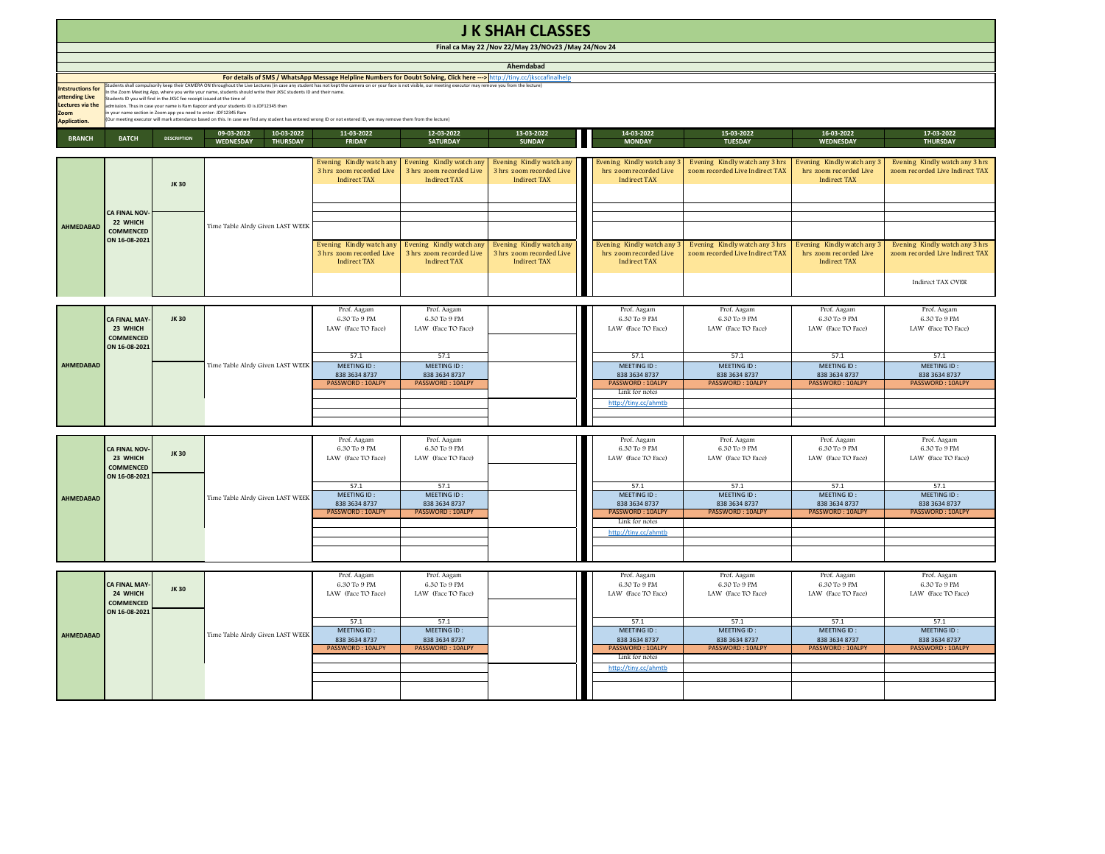| <b>J K SHAH CLASSES</b>                                                                      |                                                                                                                                                                                                                                                                                                                                                                                                                                                                                                                                                                                                                                                                                                                                                                                                                                                                             |                    |                                                          |                                                                             |                                                                             |                                                                             |                                                                            |                                                                    |                                                                             |                                                                   |  |
|----------------------------------------------------------------------------------------------|-----------------------------------------------------------------------------------------------------------------------------------------------------------------------------------------------------------------------------------------------------------------------------------------------------------------------------------------------------------------------------------------------------------------------------------------------------------------------------------------------------------------------------------------------------------------------------------------------------------------------------------------------------------------------------------------------------------------------------------------------------------------------------------------------------------------------------------------------------------------------------|--------------------|----------------------------------------------------------|-----------------------------------------------------------------------------|-----------------------------------------------------------------------------|-----------------------------------------------------------------------------|----------------------------------------------------------------------------|--------------------------------------------------------------------|-----------------------------------------------------------------------------|-------------------------------------------------------------------|--|
| Final ca May 22 / Nov 22/May 23/NOv23 / May 24/Nov 24                                        |                                                                                                                                                                                                                                                                                                                                                                                                                                                                                                                                                                                                                                                                                                                                                                                                                                                                             |                    |                                                          |                                                                             |                                                                             |                                                                             |                                                                            |                                                                    |                                                                             |                                                                   |  |
| Ahemdabad                                                                                    |                                                                                                                                                                                                                                                                                                                                                                                                                                                                                                                                                                                                                                                                                                                                                                                                                                                                             |                    |                                                          |                                                                             |                                                                             |                                                                             |                                                                            |                                                                    |                                                                             |                                                                   |  |
| <b>Intstructions for</b><br>attending Live<br>Lectures via the<br>oom<br><b>Application.</b> | For details of SMS / WhatsApp Message Helpline Numbers for Doubt Solving, Click here ---> http://tiny.cc/jksccafinalhelp<br>Students shall compulsorily keep their CAMERA ON throughout the Live Lectures (in case any student has not kept the camera on or your face is not visible, our meeting executor may remove you from the lecture)<br>In the Zoom Meeting App, where you write your name, students should write their JKSC students ID and their name.<br>Students ID you will find in the JKSC fee receipt issued at the time of<br>admission. Thus in case your name is Ram Kapoor and your students ID is JDF12345 then<br>n your name section in Zoom app you need to enter-JDF12345 Ram<br>Our meeting executor will mark attendance based on this. In case we find any student has entered wrong ID or not entered ID, we may remove them from the lecture) |                    |                                                          |                                                                             |                                                                             |                                                                             |                                                                            |                                                                    |                                                                             |                                                                   |  |
| <b>BRANCH</b>                                                                                | <b>BATCH</b>                                                                                                                                                                                                                                                                                                                                                                                                                                                                                                                                                                                                                                                                                                                                                                                                                                                                | <b>DESCRIPTION</b> | 10-03-2022<br>09-03-2022<br>WEDNESDAY<br><b>THURSDAY</b> | 11-03-2022<br><b>FRIDAY</b>                                                 | 12-03-2022<br><b>SATURDAY</b>                                               | 13-03-2022<br><b>SUNDAY</b>                                                 | 14-03-2022<br><b>MONDAY</b>                                                | 15-03-2022<br><b>TUESDAY</b>                                       | 16-03-2022<br><b>WEDNESDAY</b>                                              | 17-03-2022<br><b>THURSDAY</b>                                     |  |
| AHMEDABAD                                                                                    | CA FINAL NOV-<br>22 WHICH<br><b>COMMENCED</b><br>ON 16-08-2021                                                                                                                                                                                                                                                                                                                                                                                                                                                                                                                                                                                                                                                                                                                                                                                                              | JK 30              |                                                          | Evening Kindly watch any<br>3 hrs zoom recorded Live<br><b>Indirect TAX</b> | Evening Kindly watch any<br>3 hrs zoom recorded Live<br><b>Indirect TAX</b> | Evening Kindly watch any<br>3 hrs zoom recorded Live<br><b>Indirect TAX</b> | Evening Kindly watch any<br>hrs zoom recorded Live<br><b>Indirect TAX</b>  | Evening Kindly watch any 3 hrs<br>zoom recorded Live Indirect TAX  | Evening Kindly watch any 3<br>hrs zoom recorded Live<br><b>Indirect TAX</b> | Evening Kindly watch any 3 hrs<br>zoom recorded Live Indirect TAX |  |
|                                                                                              |                                                                                                                                                                                                                                                                                                                                                                                                                                                                                                                                                                                                                                                                                                                                                                                                                                                                             |                    | Time Table Alrdy Given LAST WEEK                         | Evening Kindly watch any<br>3 hrs zoom recorded Live                        | Evening Kindly watch any<br>3 hrs zoom recorded Live                        | Evening Kindly watch any<br>3 hrs zoom recorded Live                        | Evening Kindly watch any<br>hrs zoom recorded Live                         | Evening Kindly watch any 3 hrs<br>zoom recorded Live Indirect TAX  | Evening Kindly watch any 3<br>hrs zoom recorded Live                        | Evening Kindly watch any 3 hrs<br>zoom recorded Live Indirect TAX |  |
|                                                                                              |                                                                                                                                                                                                                                                                                                                                                                                                                                                                                                                                                                                                                                                                                                                                                                                                                                                                             |                    |                                                          | <b>Indirect TAX</b>                                                         | <b>Indirect TAX</b>                                                         | <b>Indirect TAX</b>                                                         | <b>Indirect TAX</b>                                                        |                                                                    | <b>Indirect TAX</b>                                                         | <b>Indirect TAX OVER</b>                                          |  |
| AHMEDABAD                                                                                    | CA FINAL MAY<br>23 WHICH<br>COMMENCED<br>ON 16-08-2021                                                                                                                                                                                                                                                                                                                                                                                                                                                                                                                                                                                                                                                                                                                                                                                                                      | <b>JK30</b>        | Time Table Alrdy Given LAST WEEK                         | Prof. Aagam<br>6.30 To 9 PM<br>LAW (Face TO Face)                           | Prof. Aagam<br>6.30 To 9 PM<br>LAW (Face TO Face)                           |                                                                             | Prof. Aagam<br>6.30 To 9 PM<br>LAW (Face TO Face)                          | Prof. Aagam<br>6.30 To 9 PM<br>LAW (Face TO Face)                  | Prof. Aagam<br>6.30 To 9 PM<br>LAW (Face TO Face)                           | Prof. Aagam<br>6.30 To 9 PM<br>LAW (Face TO Face)                 |  |
|                                                                                              |                                                                                                                                                                                                                                                                                                                                                                                                                                                                                                                                                                                                                                                                                                                                                                                                                                                                             |                    |                                                          | 57.1<br>MEETING ID:<br>838 3634 8737<br>PASSWORD: 10ALPY                    | 57.1<br>MEETING ID:<br>838 3634 8737<br>PASSWORD: 10ALPY                    |                                                                             | 57.1<br>MEETING ID:<br>838 3634 8737<br>PASSWORD: 10ALPY<br>Link for notes | 57.1<br>MEETING ID:<br>838 3634 8737<br>PASSWORD: 10ALPY           | 57.1<br>MEETING ID:<br>838 3634 8737<br>PASSWORD: 10ALPY                    | 57.1<br>MEETING ID:<br>838 3634 8737<br>PASSWORD: 10ALPY          |  |
|                                                                                              |                                                                                                                                                                                                                                                                                                                                                                                                                                                                                                                                                                                                                                                                                                                                                                                                                                                                             |                    |                                                          |                                                                             |                                                                             |                                                                             | http://tiny.cc/ahmtb                                                       |                                                                    |                                                                             |                                                                   |  |
| <b>AHMEDABAD</b>                                                                             | <b>CA FINAL NOV</b><br>23 WHICH<br><b>COMMENCED</b>                                                                                                                                                                                                                                                                                                                                                                                                                                                                                                                                                                                                                                                                                                                                                                                                                         | JK 30              |                                                          | Prof. Aagam<br>6.30 To 9 PM<br>LAW (Face TO Face)                           | Prof. Aagam<br>6.30 To 9 PM<br>LAW (Face TO Face)                           |                                                                             | Prof. Aagam<br>6.30 To 9 PM<br>LAW (Face TO Face)                          | Prof. Aagam<br>6.30 To 9 PM<br>LAW (Face TO Face)                  | Prof. Aagam<br>6.30 To 9 PM<br>LAW (Face TO Face)                           | Prof. Aagam<br>6.30 To 9 PM<br>LAW (Face TO Face)                 |  |
|                                                                                              | ON 16-08-2021                                                                                                                                                                                                                                                                                                                                                                                                                                                                                                                                                                                                                                                                                                                                                                                                                                                               |                    | Time Table Alrdy Given LAST WEEK                         | 57.1<br>MEETING ID:<br>838 3634 8737<br>PASSWORD: 10ALPY                    | 57.1<br>MEETING ID:<br>838 3634 8737<br>PASSWORD: 10ALPY                    |                                                                             | 57.1<br>MEETING ID:<br>838 3634 8737<br>PASSWORD: 10ALPY<br>Link for notes | 57.1<br>MEETING ID:<br>838 3634 8737<br>PASSWORD: 10ALPY           | 57.1<br>MEETING ID:<br>838 3634 8737<br>PASSWORD: 10ALPY                    | 57.1<br>MEETING ID:<br>838 3634 8737<br>PASSWORD: 10ALPY          |  |
|                                                                                              |                                                                                                                                                                                                                                                                                                                                                                                                                                                                                                                                                                                                                                                                                                                                                                                                                                                                             |                    |                                                          |                                                                             |                                                                             |                                                                             | http://tiny.cc/ahmtb                                                       |                                                                    |                                                                             |                                                                   |  |
| AHMEDABAD                                                                                    | <b>CA FINAL MAY</b><br>24 WHICH<br>COMMENCED<br>ON 16-08-2021                                                                                                                                                                                                                                                                                                                                                                                                                                                                                                                                                                                                                                                                                                                                                                                                               | <b>JK30</b>        | Time Table Alrdy Given LAST WEEK                         | Prof. Aagam<br>6.30 To 9 PM<br>LAW (Face TO Face)                           | Prof. Aagam<br>6.30 To 9 PM<br>LAW (Face TO Face)                           |                                                                             | Prof. Aagam<br>6.30 To 9 PM<br>LAW (Face TO Face)                          | Prof. Aagam<br>$6.30\ {\rm To}\ 9\ {\rm PM}$<br>LAW (Face TO Face) | Prof. Aagam<br>$6.30\ {\rm To}\ 9\ {\rm PM}$<br>LAW (Face TO Face)          | Prof. Aagam<br>6.30 To 9 PM<br>LAW (Face TO Face)                 |  |
|                                                                                              |                                                                                                                                                                                                                                                                                                                                                                                                                                                                                                                                                                                                                                                                                                                                                                                                                                                                             |                    |                                                          | 57.1<br>MEETING ID:<br>838 3634 8737<br>PASSWORD: 10ALPY                    | 57.1<br>MEETING ID:<br>838 3634 8737<br>PASSWORD: 10ALPY                    |                                                                             | 57.1<br>MEETING ID:<br>838 3634 8737<br>PASSWORD: 10ALPY<br>Link for notes | 57.1<br>MEETING ID:<br>838 3634 8737<br>PASSWORD: 10ALPY           | 57.1<br>MEETING ID:<br>838 3634 8737<br>PASSWORD: 10ALPY                    | 57.1<br>MEETING ID:<br>838 3634 8737<br>PASSWORD: 10ALPY          |  |
|                                                                                              |                                                                                                                                                                                                                                                                                                                                                                                                                                                                                                                                                                                                                                                                                                                                                                                                                                                                             |                    |                                                          |                                                                             |                                                                             |                                                                             | http://tiny.cc/ahmtb                                                       |                                                                    |                                                                             |                                                                   |  |